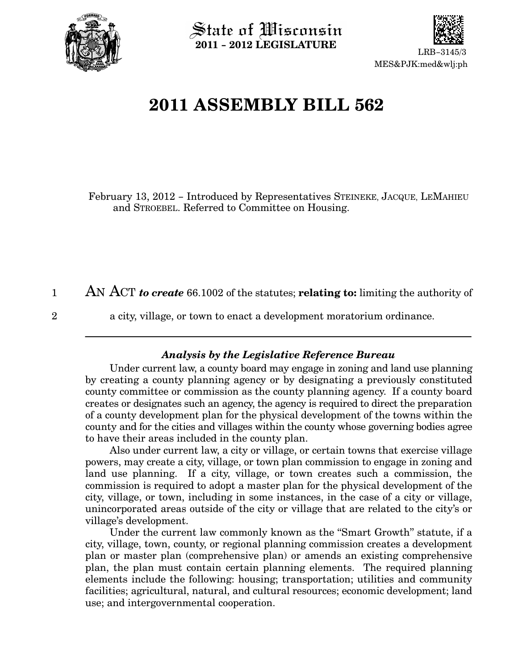

 $\operatorname{\mathsf{State}}$  of Wisconsin 2011 − 2012 LEGISLATURE



# 2011 ASSEMBLY BILL 562

February 13, 2012 − Introduced by Representatives STEINEKE, JACQUE, LEMAHIEU and STROEBEL. Referred to Committee on Housing.

AN ACT to create 66.1002 of the statutes; relating to: limiting the authority of 1

2

a city, village, or town to enact a development moratorium ordinance.

### Analysis by the Legislative Reference Bureau

Under current law, a county board may engage in zoning and land use planning by creating a county planning agency or by designating a previously constituted county committee or commission as the county planning agency. If a county board creates or designates such an agency, the agency is required to direct the preparation of a county development plan for the physical development of the towns within the county and for the cities and villages within the county whose governing bodies agree to have their areas included in the county plan.

Also under current law, a city or village, or certain towns that exercise village powers, may create a city, village, or town plan commission to engage in zoning and land use planning. If a city, village, or town creates such a commission, the commission is required to adopt a master plan for the physical development of the city, village, or town, including in some instances, in the case of a city or village, unincorporated areas outside of the city or village that are related to the city's or village's development.

Under the current law commonly known as the "Smart Growth" statute, if a city, village, town, county, or regional planning commission creates a development plan or master plan (comprehensive plan) or amends an existing comprehensive plan, the plan must contain certain planning elements. The required planning elements include the following: housing; transportation; utilities and community facilities; agricultural, natural, and cultural resources; economic development; land use; and intergovernmental cooperation.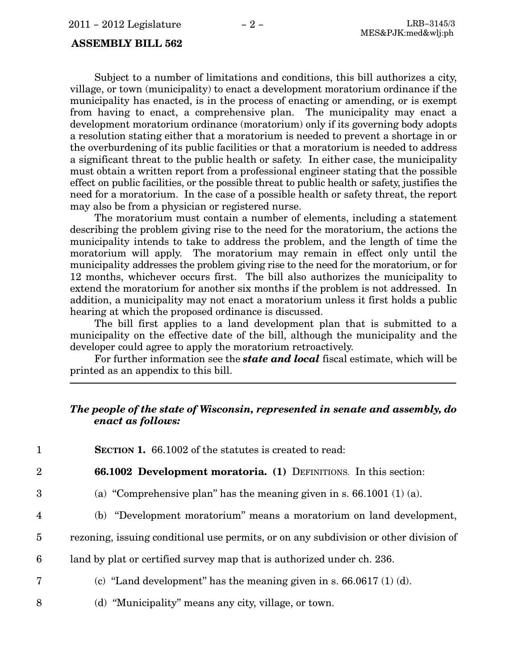Subject to a number of limitations and conditions, this bill authorizes a city, village, or town (municipality) to enact a development moratorium ordinance if the municipality has enacted, is in the process of enacting or amending, or is exempt from having to enact, a comprehensive plan. The municipality may enact a development moratorium ordinance (moratorium) only if its governing body adopts a resolution stating either that a moratorium is needed to prevent a shortage in or the overburdening of its public facilities or that a moratorium is needed to address a significant threat to the public health or safety. In either case, the municipality must obtain a written report from a professional engineer stating that the possible effect on public facilities, or the possible threat to public health or safety, justifies the need for a moratorium. In the case of a possible health or safety threat, the report may also be from a physician or registered nurse.

The moratorium must contain a number of elements, including a statement describing the problem giving rise to the need for the moratorium, the actions the municipality intends to take to address the problem, and the length of time the moratorium will apply. The moratorium may remain in effect only until the municipality addresses the problem giving rise to the need for the moratorium, or for 12 months, whichever occurs first. The bill also authorizes the municipality to extend the moratorium for another six months if the problem is not addressed. In addition, a municipality may not enact a moratorium unless it first holds a public hearing at which the proposed ordinance is discussed.

The bill first applies to a land development plan that is submitted to a municipality on the effective date of the bill, although the municipality and the developer could agree to apply the moratorium retroactively.

For further information see the **state and local** fiscal estimate, which will be printed as an appendix to this bill.

### The people of the state of Wisconsin, represented in senate and assembly, do enact as follows:

| <b>SECTION 1.</b> 66.1002 of the statutes is created to read: |
|---------------------------------------------------------------|
|                                                               |

4

7

8

66.1002 Development moratoria. (1) DEFINITIONS. In this section: 2

- (a) "Comprehensive plan" has the meaning given in s.  $66.1001$  (1) (a). 3
	- (b) "Development moratorium" means a moratorium on land development,
- rezoning, issuing conditional use permits, or on any subdivision or other division of 5
- land by plat or certified survey map that is authorized under ch. 236. 6
	- (c) "Land development" has the meaning given in s.  $66.0617(1)$  (d).
	- (d) Municipality" means any city, village, or town.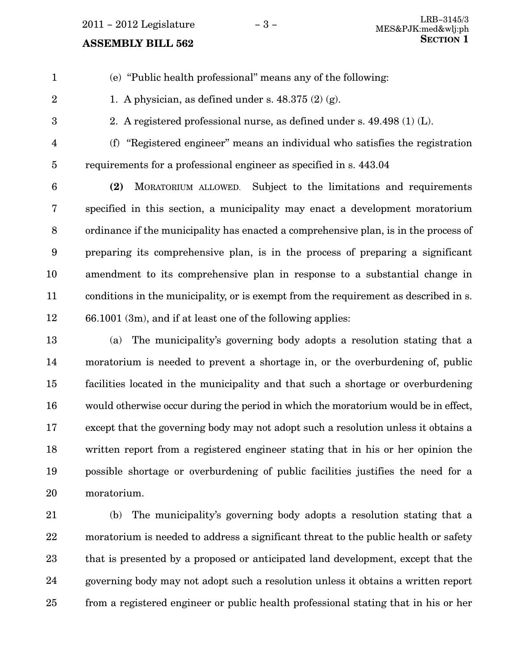- $(e)$  "Public health professional" means any of the following:
- 2 3

1

2. A registered professional nurse, as defined under s. 49.498 (1) (L).

1. A physician, as defined under s.  $48.375(2)(g)$ .

(f) Registered engineer" means an individual who satisfies the registration requirements for a professional engineer as specified in s. 443.04 4 5

(2) MORATORIUM ALLOWED. Subject to the limitations and requirements specified in this section, a municipality may enact a development moratorium ordinance if the municipality has enacted a comprehensive plan, is in the process of preparing its comprehensive plan, is in the process of preparing a significant amendment to its comprehensive plan in response to a substantial change in conditions in the municipality, or is exempt from the requirement as described in s. 66.1001 (3m), and if at least one of the following applies: 6 7 8 9 10 11 12

(a) The municipality's governing body adopts a resolution stating that a moratorium is needed to prevent a shortage in, or the overburdening of, public facilities located in the municipality and that such a shortage or overburdening would otherwise occur during the period in which the moratorium would be in effect, except that the governing body may not adopt such a resolution unless it obtains a written report from a registered engineer stating that in his or her opinion the possible shortage or overburdening of public facilities justifies the need for a moratorium. 13 14 15 16 17 18 19 20

(b) The municipality's governing body adopts a resolution stating that a moratorium is needed to address a significant threat to the public health or safety that is presented by a proposed or anticipated land development, except that the governing body may not adopt such a resolution unless it obtains a written report from a registered engineer or public health professional stating that in his or her 21 22 23 24 25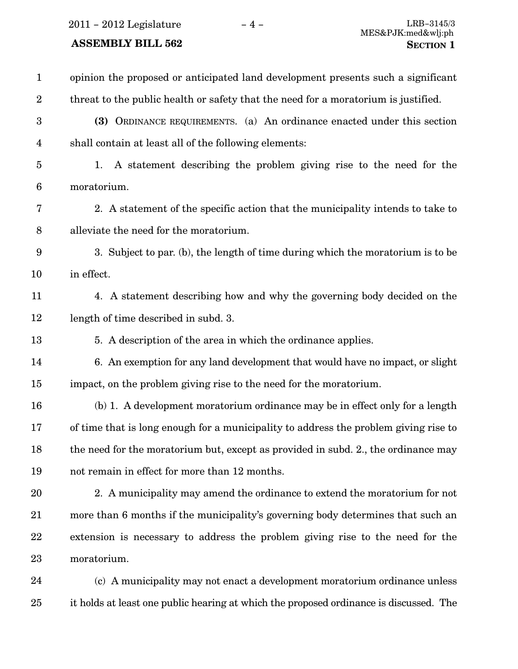| $\mathbf{1}$            | opinion the proposed or anticipated land development presents such a significant     |
|-------------------------|--------------------------------------------------------------------------------------|
| $\overline{2}$          | threat to the public health or safety that the need for a moratorium is justified.   |
| $\boldsymbol{3}$        | (3) ORDINANCE REQUIREMENTS. (a) An ordinance enacted under this section              |
| $\overline{\mathbf{4}}$ | shall contain at least all of the following elements:                                |
| $\overline{5}$          | A statement describing the problem giving rise to the need for the<br>1.             |
| $6\phantom{.}6$         | moratorium.                                                                          |
| 7                       | 2. A statement of the specific action that the municipality intends to take to       |
| 8                       | alleviate the need for the moratorium.                                               |
| 9                       | 3. Subject to par. (b), the length of time during which the moratorium is to be      |
| 10                      | in effect.                                                                           |
| 11                      | 4. A statement describing how and why the governing body decided on the              |
| 12                      | length of time described in subd. 3.                                                 |
| 13                      | 5. A description of the area in which the ordinance applies.                         |
| 14                      | 6. An exemption for any land development that would have no impact, or slight        |
| 15                      | impact, on the problem giving rise to the need for the moratorium.                   |
| 16                      | (b) 1. A development moratorium ordinance may be in effect only for a length         |
| 17                      | of time that is long enough for a municipality to address the problem giving rise to |
| 18                      | the need for the moratorium but, except as provided in subd. 2., the ordinance may   |
| 19                      | not remain in effect for more than 12 months.                                        |
| 20                      | 2. A municipality may amend the ordinance to extend the moratorium for not           |
| 21                      | more than 6 months if the municipality's governing body determines that such an      |
| 22                      | extension is necessary to address the problem giving rise to the need for the        |
| 23                      | moratorium.                                                                          |
| 24                      | (c) A municipality may not enact a development moratorium ordinance unless           |
|                         |                                                                                      |

it holds at least one public hearing at which the proposed ordinance is discussed. The 25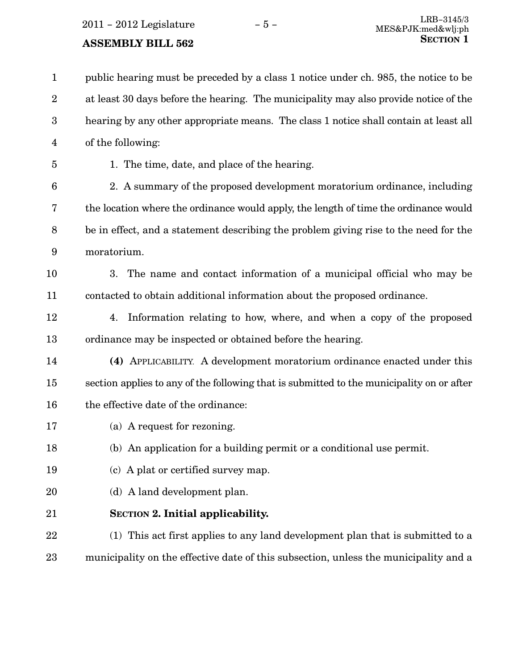public hearing must be preceded by a class 1 notice under ch. 985, the notice to be at least 30 days before the hearing. The municipality may also provide notice of the hearing by any other appropriate means. The class 1 notice shall contain at least all of the following: 1 2 3 4

5

1. The time, date, and place of the hearing.

2. A summary of the proposed development moratorium ordinance, including the location where the ordinance would apply, the length of time the ordinance would be in effect, and a statement describing the problem giving rise to the need for the moratorium. 6 7 8 9

3. The name and contact information of a municipal official who may be contacted to obtain additional information about the proposed ordinance. 10 11

4. Information relating to how, where, and when a copy of the proposed ordinance may be inspected or obtained before the hearing. 12 13

(4) APPLICABILITY. A development moratorium ordinance enacted under this section applies to any of the following that is submitted to the municipality on or after the effective date of the ordinance: 14 15 16

(a) A request for rezoning. 17

(b) An application for a building permit or a conditional use permit. 18

- (c) A plat or certified survey map. 19
- (d) A land development plan. 20
- SECTION 2. Initial applicability. 21

(1) This act first applies to any land development plan that is submitted to a municipality on the effective date of this subsection, unless the municipality and a 22 23